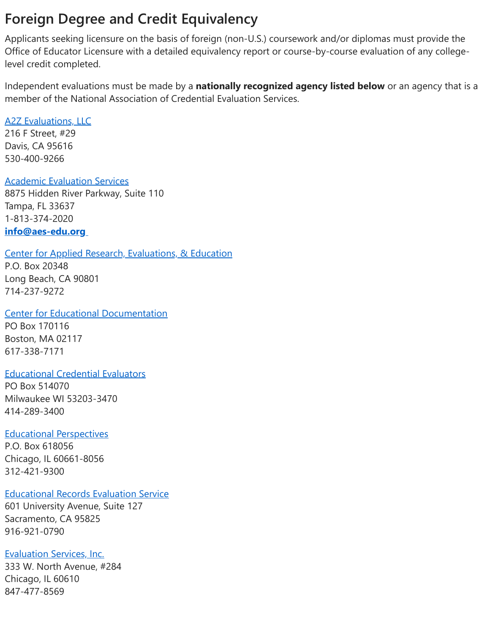# **Foreign Degree and Credit Equivalency**

Applicants seeking licensure on the basis of foreign (non-U.S.) coursework and/or diplomas must provide the Office of Educator Licensure with a detailed equivalency report or course-by-course evaluation of any collegelevel credit completed.

Independent evaluations must be made by a **nationally recognized agency listed below** or an agency that is a member of the National Association of Credential Evaluation Services.

## [A2Z Evaluations, LLC](http://www.a2zeval.com/)

216 F Street, #29 Davis, CA 95616 530-400-9266

# [Academic Evaluation Services](http://www.aes-edu.org/)

8875 Hidden River Parkway, Suite 110 Tampa, FL 33637 1-813-374-2020 **[info@aes-edu.org](mailto:info@aes-edu.org)**

[Center for Applied Research, Evaluations, & Education](http://www.iescaree.com/) P.O. Box 20348 Long Beach, CA 90801 714-237-9272

[Center for Educational Documentation](http://www.cedevaluations.com/) PO Box 170116 Boston, MA 02117 617-338-7171

## [Educational Credential Evaluators](https://www.ece.org/)

PO Box 514070 Milwaukee WI 53203-3470 414-289-3400

## [Educational Perspectives](http://edperspective.org/)

P.O. Box 618056 Chicago, IL 60661-8056 312-421-9300

## [Educational Records Evaluation Service](http://www.eres.com/)

601 University Avenue, Suite 127 Sacramento, CA 95825 916-921-0790

# [Evaluation Services, Inc.](http://www.evaluationservice.net/)

333 W. North Avenue, #284 Chicago, IL 60610 847-477-8569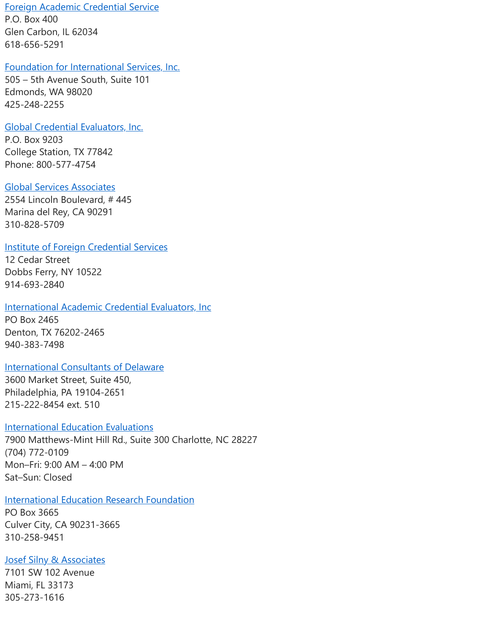[Foreign Academic Credential Service](http://facsusa.com/)

P.O. Box 400 Glen Carbon, IL 62034 618-656-5291

#### [Foundation for International Services, Inc.](http://www.fis-web.com/)

505 – 5th Avenue South, Suite 101 Edmonds, WA 98020 425-248-2255

#### [Global Credential Evaluators, Inc.](http://gceus.com/)

P.O. Box 9203 College Station, TX 77842 Phone: 800-577-4754

#### [Global Services Associates](http://www.globaleval.org/)

2554 Lincoln Boulevard, # 445 Marina del Rey, CA 90291 310-828-5709

#### [Institute of Foreign Credential Services](http://ifcsevals.com/)

12 Cedar Street Dobbs Ferry, NY 10522 914-693-2840

#### [International Academic Credential Evaluators, Inc](http://www.iacei.net/).

PO Box 2465 Denton, TX 76202-2465 940-383-7498

## **[International Consultants of Delaware](http://www.icdeval.com/)**

3600 Market Street, Suite 450, Philadelphia, PA 19104-2651 215-222-8454 ext. 510

#### [International Education Evaluations](https://myiee.org/)

7900 Matthews-Mint Hill Rd., Suite 300 Charlotte, NC 28227 (704) 772-0109 Mon–Fri: 9:00 AM – 4:00 PM Sat–Sun: Closed

## **[International Education Research Foundation](http://www.ierf.org/)**

PO Box 3665 Culver City, CA 90231-3665 310-258-9451

## **[Josef Silny & Associates](http://www.jsilny.com/)**

7101 SW 102 Avenue Miami, FL 33173 305-273-1616